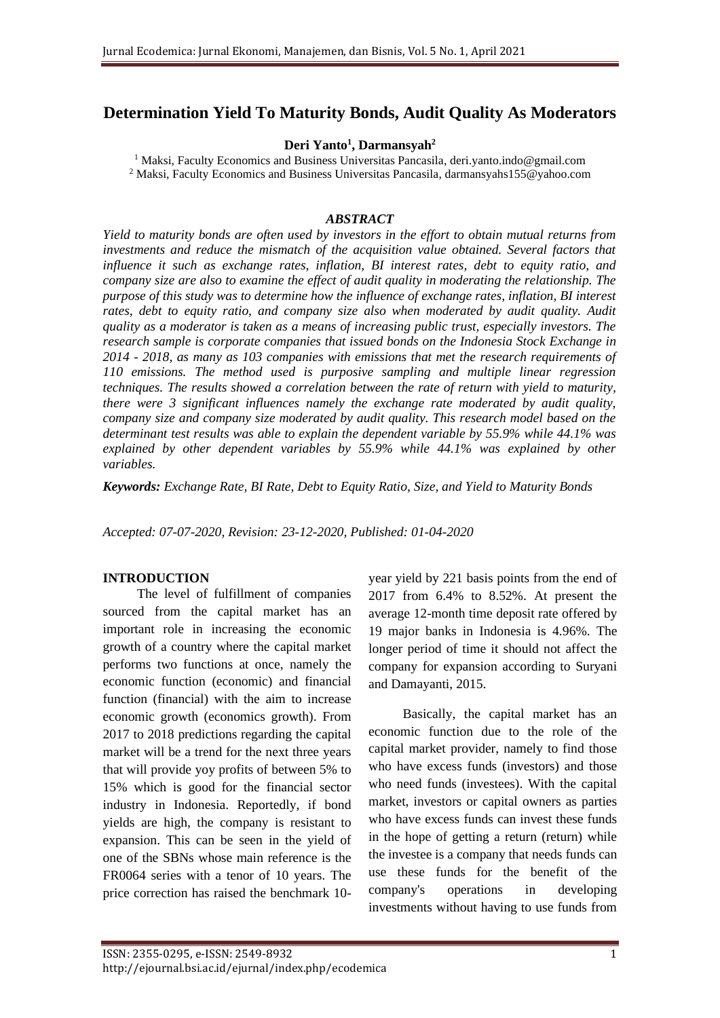# **Determination Yield To Maturity Bonds, Audit Quality As Moderators**

**Deri Yanto<sup>1</sup> , Darmansyah<sup>2</sup>**

<sup>1</sup> Maksi, Faculty Economics and Business Universitas Pancasila, deri.yanto.indo@gmail.com <sup>2</sup> Maksi, Faculty Economics and Business Universitas Pancasila, darmansyahs155@yahoo.com

#### *ABSTRACT*

*Yield to maturity bonds are often used by investors in the effort to obtain mutual returns from investments and reduce the mismatch of the acquisition value obtained. Several factors that influence it such as exchange rates, inflation, BI interest rates, debt to equity ratio, and company size are also to examine the effect of audit quality in moderating the relationship. The purpose of this study was to determine how the influence of exchange rates, inflation, BI interest rates, debt to equity ratio, and company size also when moderated by audit quality. Audit quality as a moderator is taken as a means of increasing public trust, especially investors. The research sample is corporate companies that issued bonds on the Indonesia Stock Exchange in 2014 - 2018, as many as 103 companies with emissions that met the research requirements of 110 emissions. The method used is purposive sampling and multiple linear regression techniques. The results showed a correlation between the rate of return with yield to maturity, there were 3 significant influences namely the exchange rate moderated by audit quality, company size and company size moderated by audit quality. This research model based on the determinant test results was able to explain the dependent variable by 55.9% while 44.1% was*  explained by other dependent variables by 55.9% while 44.1% was explained by other *variables.* 

*Keywords: Exchange Rate, BI Rate, Debt to Equity Ratio, Size, and Yield to Maturity Bonds*

*Accepted: 07-07-2020, Revision: 23-12-2020, Published: 01-04-2020*

#### **INTRODUCTION**

The level of fulfillment of companies sourced from the capital market has an important role in increasing the economic growth of a country where the capital market performs two functions at once, namely the economic function (economic) and financial function (financial) with the aim to increase economic growth (economics growth). From 2017 to 2018 predictions regarding the capital market will be a trend for the next three years that will provide yoy profits of between 5% to 15% which is good for the financial sector industry in Indonesia. Reportedly, if bond yields are high, the company is resistant to expansion. This can be seen in the yield of one of the SBNs whose main reference is the FR0064 series with a tenor of 10 years. The price correction has raised the benchmark 10year yield by 221 basis points from the end of 2017 from 6.4% to 8.52%. At present the average 12-month time deposit rate offered by 19 major banks in Indonesia is 4.96%. The longer period of time it should not affect the company for expansion according to Suryani and Damayanti, 2015.

Basically, the capital market has an economic function due to the role of the capital market provider, namely to find those who have excess funds (investors) and those who need funds (investees). With the capital market, investors or capital owners as parties who have excess funds can invest these funds in the hope of getting a return (return) while the investee is a company that needs funds can use these funds for the benefit of the company's operations in developing investments without having to use funds from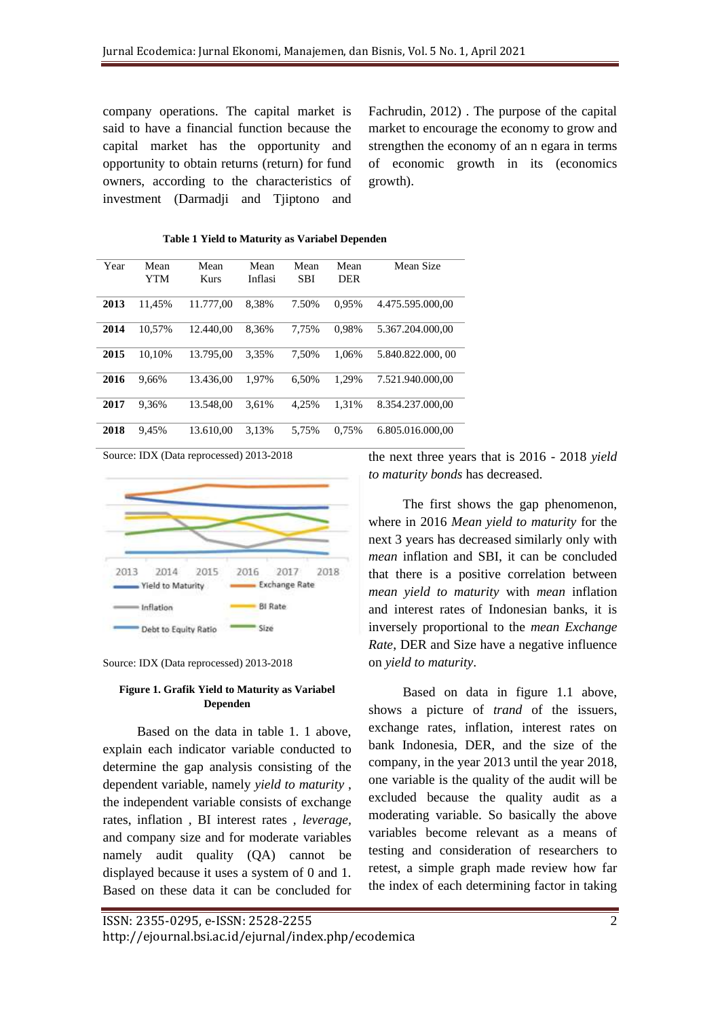company operations. The capital market is said to have a financial function because the capital market has the opportunity and opportunity to obtain returns (return) for fund owners, according to the characteristics of investment (Darmadji and Tjiptono and Fachrudin, 2012) . The purpose of the capital market to encourage the economy to grow and strengthen the economy of an n egara in terms of economic growth in its (economics growth).

| Year | Mean       | Mean        | Mean    | Mean       | Mean       | Mean Size        |
|------|------------|-------------|---------|------------|------------|------------------|
|      | <b>YTM</b> | <b>Kurs</b> | Inflasi | <b>SBI</b> | <b>DER</b> |                  |
|      |            |             |         |            |            |                  |
| 2013 | 11.45%     | 11.777.00   | 8.38%   | 7.50%      | 0.95%      | 4.475.595.000.00 |
| 2014 | 10.57%     | 12.440.00   | 8.36%   | 7.75%      | 0.98%      | 5.367.204.000.00 |
| 2015 | 10.10%     | 13.795.00   | 3.35%   | 7.50%      | 1.06%      | 5.840.822,000,00 |
| 2016 | 9.66%      | 13.436.00   | 1.97%   | 6.50%      | 1.29%      | 7.521.940.000.00 |
| 2017 | 9.36%      | 13.548.00   | 3.61%   | 4,25%      | 1,31%      | 8.354.237.000,00 |
| 2018 | 9.45%      | 13.610.00   | 3.13%   | 5.75%      | 0.75%      | 6.805.016.000.00 |

 **Table 1 Yield to Maturity as Variabel Dependen**

Source: IDX (Data reprocessed) 2013-2018



Source: IDX (Data reprocessed) 2013-2018

#### **Figure 1. Grafik Yield to Maturity as Variabel Dependen**

Based on the data in table 1. 1 above, explain each indicator variable conducted to determine the gap analysis consisting of the dependent variable, namely *yield to maturity* , the independent variable consists of exchange rates, inflation *,* BI interest rates *, leverage,*  and company size and for moderate variables namely audit quality (QA) cannot be displayed because it uses a system of 0 and 1. Based on these data it can be concluded for the next three years that is 2016 - 2018 *yield to maturity bonds* has decreased.

The first shows the gap phenomenon, where in 2016 *Mean yield to maturity* for the next 3 years has decreased similarly only with *mean* inflation and SBI, it can be concluded that there is a positive correlation between *mean yield to maturity* with *mean* inflation and interest rates of Indonesian banks, it is inversely proportional to the *mean Exchange Rate*, DER and Size have a negative influence on *yield to maturity*.

Based on data in figure 1.1 above, shows a picture of *trand* of the issuers, exchange rates, inflation, interest rates on bank Indonesia, DER, and the size of the company, in the year 2013 until the year 2018, one variable is the quality of the audit will be excluded because the quality audit as a moderating variable. So basically the above variables become relevant as a means of testing and consideration of researchers to retest, a simple graph made review how far the index of each determining factor in taking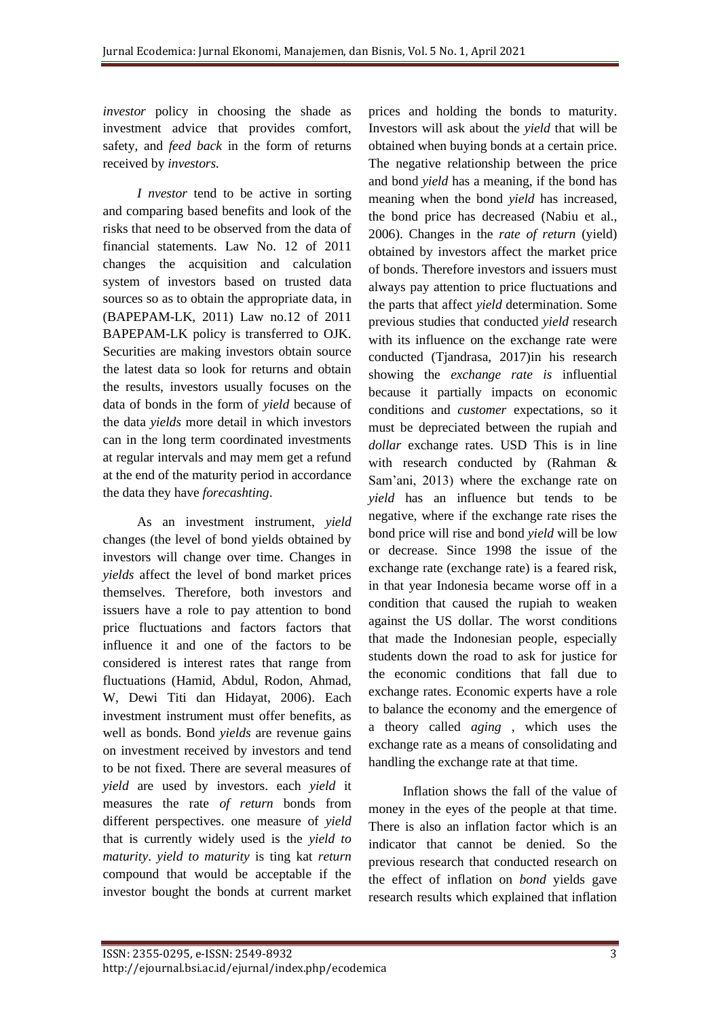*investor* policy in choosing the shade as investment advice that provides comfort, safety, and *feed back* in the form of returns received by *investors.*

*I nvestor* tend to be active in sorting and comparing based benefits and look of the risks that need to be observed from the data of financial statements. [Law No. 12 of 2011](https://translate.google.com/translate?hl=en&prev=_t&sl=auto&tl=en&u=https://www.bi.go.id/id/tentang-bi/uu-bi/Documents/UU21Tahun2011.pdf)  [changes the acquisition and calculation](https://translate.google.com/translate?hl=en&prev=_t&sl=auto&tl=en&u=https://www.bi.go.id/id/tentang-bi/uu-bi/Documents/UU21Tahun2011.pdf)  [system of investors based on trusted data](https://translate.google.com/translate?hl=en&prev=_t&sl=auto&tl=en&u=https://www.bi.go.id/id/tentang-bi/uu-bi/Documents/UU21Tahun2011.pdf)  [sources so as to obtain the appropriate data,](https://translate.google.com/translate?hl=en&prev=_t&sl=auto&tl=en&u=https://www.bi.go.id/id/tentang-bi/uu-bi/Documents/UU21Tahun2011.pdf) [in](https://translate.google.com/translate?hl=en&prev=_t&sl=auto&tl=en&u=https://www.bi.go.id/id/tentang-bi/uu-bi/Documents/UU21Tahun2011.pdf) [\(BAPEPAM-LK, 2011\)](https://translate.google.com/translate?hl=en&prev=_t&sl=auto&tl=en&u=https://www.bi.go.id/id/tentang-bi/uu-bi/Documents/UU21Tahun2011.pdf) [Law no.12 of 2011](https://translate.google.com/translate?hl=en&prev=_t&sl=auto&tl=en&u=https://www.bi.go.id/id/tentang-bi/uu-bi/Documents/UU21Tahun2011.pdf)  [BAPEPAM-LK policy is transferred to OJK.](https://translate.google.com/translate?hl=en&prev=_t&sl=auto&tl=en&u=https://www.bi.go.id/id/tentang-bi/uu-bi/Documents/UU21Tahun2011.pdf)  [Se](https://translate.google.com/translate?hl=en&prev=_t&sl=auto&tl=en&u=https://www.bi.go.id/id/tentang-bi/uu-bi/Documents/UU21Tahun2011.pdf)curities are making investors obtain source the latest data so look for returns and obtain the results, investors usually focuses on the data of bonds in the form of *yield* because of the data *yields* more detail in which investors can in the long term coordinated investments at regular intervals and may mem get a refund at the end of the maturity period in accordance the data they have *forecashting*.

As an investment instrument, *yield*  changes (the level of bond yields obtained by investors will change over time. Changes in *yields* affect the level of bond market prices themselves. Therefore, both investors and issuers have a role to pay attention to bond price fluctuations and factors factors that influence it and one of the factors to be considered is interest rates that range from fluctuations (Hamid, Abdul, Rodon, Ahmad, W, Dewi Titi dan Hidayat, 2006). Each investment instrument must offer benefits, as well as bonds. Bond *yields* are revenue gains on investment received by investors and tend to be not fixed. There are several measures of *yield* are used by investors. each *yield* it measures the rate *of return* bonds from different perspectives. one measure of *yield*  that is currently widely used is the *yield to maturity*. *yield to maturity* is ting kat *return*  compound that would be acceptable if the investor bought the bonds at current market

prices and holding the bonds to maturity. Investors will ask about the *yield* that will be obtained when buying bonds at a certain price. The negative relationship between the price and bond *yield* has a meaning, if the bond has meaning when the bond *yield* has increased, the bond price has decreased (Nabiu et al., 2006). Changes in the *rate of return* (yield) obtained by investors affect the market price of bonds. Therefore investors and issuers must always pay attention to price fluctuations and the parts that affect *yield* determination. Some previous studies that conducted *yield* research with its influence on the exchange rate were conducted (Tjandrasa, 2017)in his research showing the *exchange rate is* influential because it partially impacts on economic conditions and *customer* expectations, so it must be depreciated between the rupiah and *dollar* exchange rates. USD This is in line with research conducted by (Rahman & Sam'ani, 2013) where the exchange rate on *yield* has an influence but tends to be negative, where if the exchange rate rises the bond price will rise and bond *yield* will be low or decrease. Since 1998 the issue of the exchange rate (exchange rate) is a feared risk, in that year Indonesia became worse off in a condition that caused the rupiah to weaken against the US dollar. The worst conditions that made the Indonesian people, especially students down the road to ask for justice for the economic conditions that fall due to exchange rates. Economic experts have a role to balance the economy and the emergence of a theory called *aging* , which uses the exchange rate as a means of consolidating and handling the exchange rate at that time.

Inflation shows the fall of the value of money in the eyes of the people at that time. There is also an inflation factor which is an indicator that cannot be denied. So the previous research that conducted research on the effect of inflation on *bond* yields gave research results which explained that inflation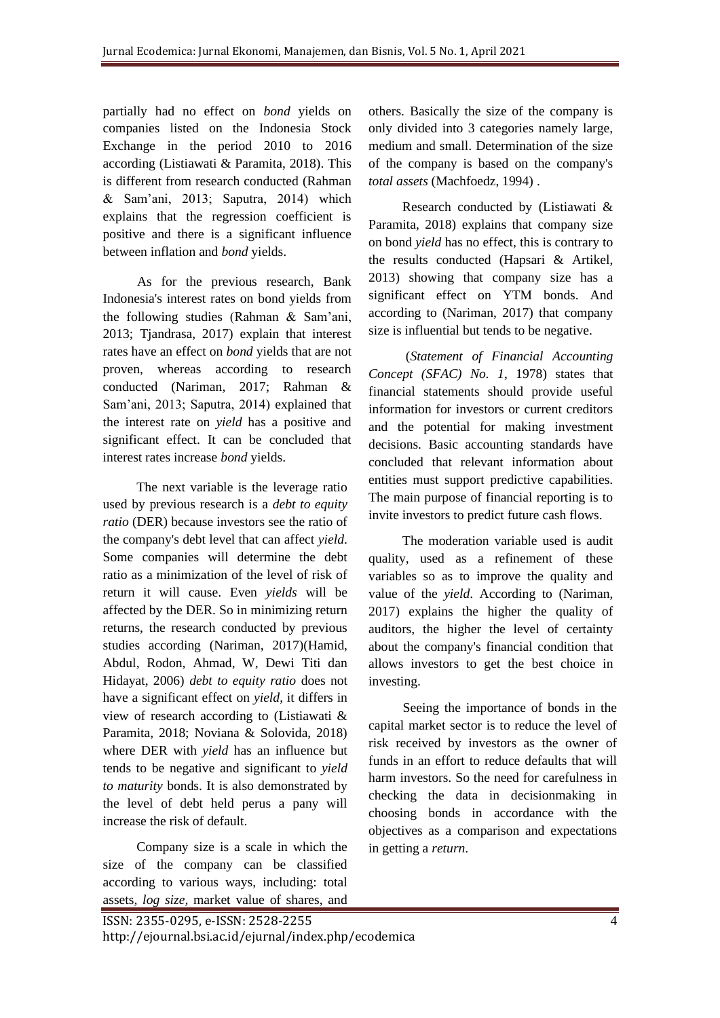partially had no effect on *bond* yields on companies listed on the Indonesia Stock Exchange in the period 2010 to 2016 according (Listiawati & Paramita, 2018). This is different from research conducted (Rahman & Sam'ani, 2013; Saputra, 2014) which explains that the regression coefficient is positive and there is a significant influence between inflation and *bond* yields.

As for the previous research, Bank Indonesia's interest rates on bond yields from the following studies (Rahman & Sam'ani, 2013; Tjandrasa, 2017) explain that interest rates have an effect on *bond* yields that are not proven, whereas according to research conducted (Nariman, 2017; Rahman & Sam'ani, 2013; Saputra, 2014) explained that the interest rate on *yield* has a positive and significant effect. It can be concluded that interest rates increase *bond* yields.

The next variable is the leverage ratio used by previous research is a *debt to equity ratio* (DER) because investors see the ratio of the company's debt level that can affect *yield*. Some companies will determine the debt ratio as a minimization of the level of risk of return it will cause. Even *yields* will be affected by the DER. So in minimizing return returns, the research conducted by previous studies according (Nariman, 2017)(Hamid, Abdul, Rodon, Ahmad, W, Dewi Titi dan Hidayat, 2006) *debt to equity ratio* does not have a significant effect on *yield*, it differs in view of research according to (Listiawati & Paramita, 2018; Noviana & Solovida, 2018) where DER with *yield* has an influence but tends to be negative and significant to *yield to maturity* bonds. It is also demonstrated by the level of debt held perus a pany will increase the risk of default.

Company size is a scale in which the size of the company can be classified according to various ways, including: total assets, *log size,* market value of shares, and

others. Basically the size of the company is only divided into 3 categories namely large, medium and small. Determination of the size of the company is based on the company's *total assets* (Machfoedz, 1994) .

Research conducted by (Listiawati & Paramita, 2018) explains that company size on bond *yield* has no effect, this is contrary to the results conducted (Hapsari & Artikel, 2013) showing that company size has a significant effect on YTM bonds. And according to (Nariman, 2017) that company size is influential but tends to be negative.

(*Statement of Financial Accounting Concept (SFAC) No. 1*, 1978) states that financial statements should provide useful information for investors or current creditors and the potential for making investment decisions. Basic accounting standards have concluded that relevant information about entities must support predictive capabilities. The main purpose of financial reporting is to invite investors to predict future cash flows.

The moderation variable used is audit quality, used as a refinement of these variables so as to improve the quality and value of the *yield*. According to (Nariman, 2017) explains the higher the quality of auditors, the higher the level of certainty about the company's financial condition that allows investors to get the best choice in investing.

Seeing the importance of bonds in the capital market sector is to reduce the level of risk received by investors as the owner of funds in an effort to reduce defaults that will harm investors. So the need for carefulness in checking the data in decisionmaking in choosing bonds in accordance with the objectives as a comparison and expectations in getting a *return*.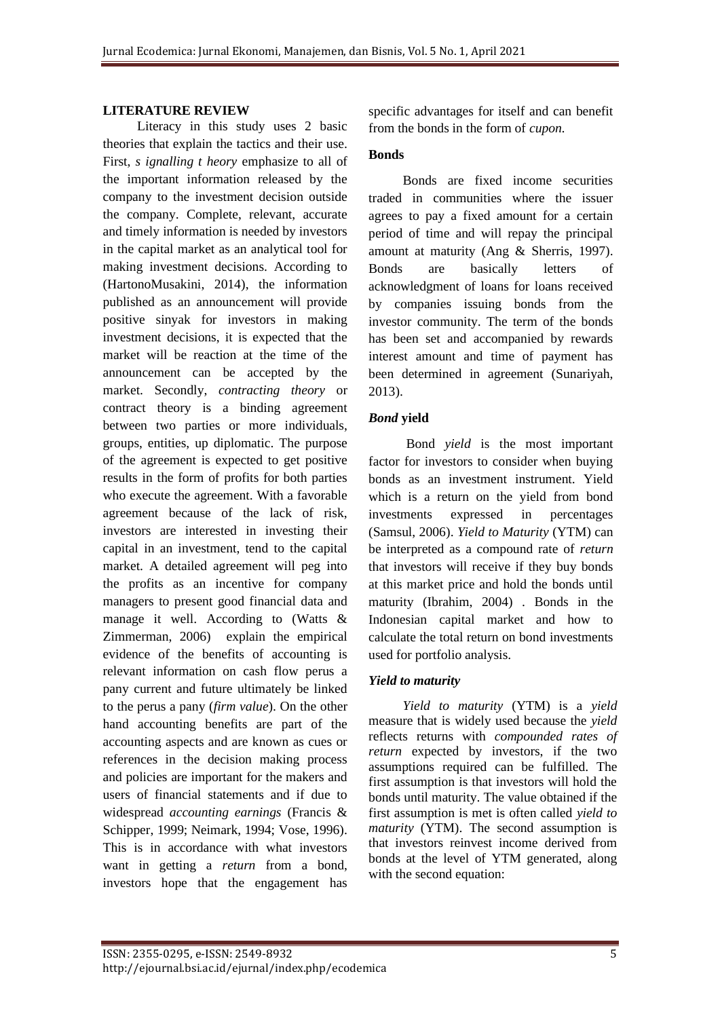#### **LITERATURE REVIEW**

Literacy in this study uses 2 basic theories that explain the tactics and their use. First, *s ignalling t heory* emphasize to all of the important information released by the company to the investment decision outside the company. Complete, relevant, accurate and timely information is needed by investors in the capital market as an analytical tool for making investment decisions. According to (HartonoMusakini, 2014), the information published as an announcement will provide positive sinyak for investors in making investment decisions, it is expected that the market will be reaction at the time of the announcement can be accepted by the market. Secondly, *contracting theory* or contract theory is a binding agreement between two parties or more individuals, groups, entities, up diplomatic. The purpose of the agreement is expected to get positive results in the form of profits for both parties who execute the agreement. With a favorable agreement because of the lack of risk, investors are interested in investing their capital in an investment, tend to the capital market. A detailed agreement will peg into the profits as an incentive for company managers to present good financial data and manage it well. According to (Watts & Zimmerman, 2006) explain the empirical evidence of the benefits of accounting is relevant information on cash flow perus a pany current and future ultimately be linked to the perus a pany (*firm value*). On the other hand accounting benefits are part of the accounting aspects and are known as cues or references in the decision making process and policies are important for the makers and users of financial statements and if due to widespread *accounting earnings* (Francis & Schipper, 1999; Neimark, 1994; Vose, 1996). This is in accordance with what investors want in getting a *return* from a bond, investors hope that the engagement has

specific advantages for itself and can benefit from the bonds in the form of *cupon.*

#### **Bonds**

Bonds are fixed income securities traded in communities where the issuer agrees to pay a fixed amount for a certain period of time and will repay the principal amount at maturity (Ang & Sherris, 1997). Bonds are basically letters of acknowledgment of loans for loans received by companies issuing bonds from the investor community. The term of the bonds has been set and accompanied by rewards interest amount and time of payment has been determined in agreement (Sunariyah, 2013).

#### *Bond* **yield**

Bond *yield* is the most important factor for investors to consider when buying bonds as an investment instrument. Yield which is a return on the yield from bond investments expressed in percentages (Samsul, 2006). *Yield to Maturity* (YTM) can be interpreted as a compound rate of *return*  that investors will receive if they buy bonds at this market price and hold the bonds until maturity (Ibrahim, 2004) . Bonds in the Indonesian capital market and how to calculate the total return on bond investments used for portfolio analysis.

#### *Yield to maturity*

*Yield to maturity* (YTM) is a *yield*  measure that is widely used because the *yield*  reflects returns with *compounded rates of return* expected by investors, if the two assumptions required can be fulfilled. The first assumption is that investors will hold the bonds until maturity. The value obtained if the first assumption is met is often called *yield to maturity* (YTM). The second assumption is that investors reinvest income derived from bonds at the level of YTM generated, along with the second equation: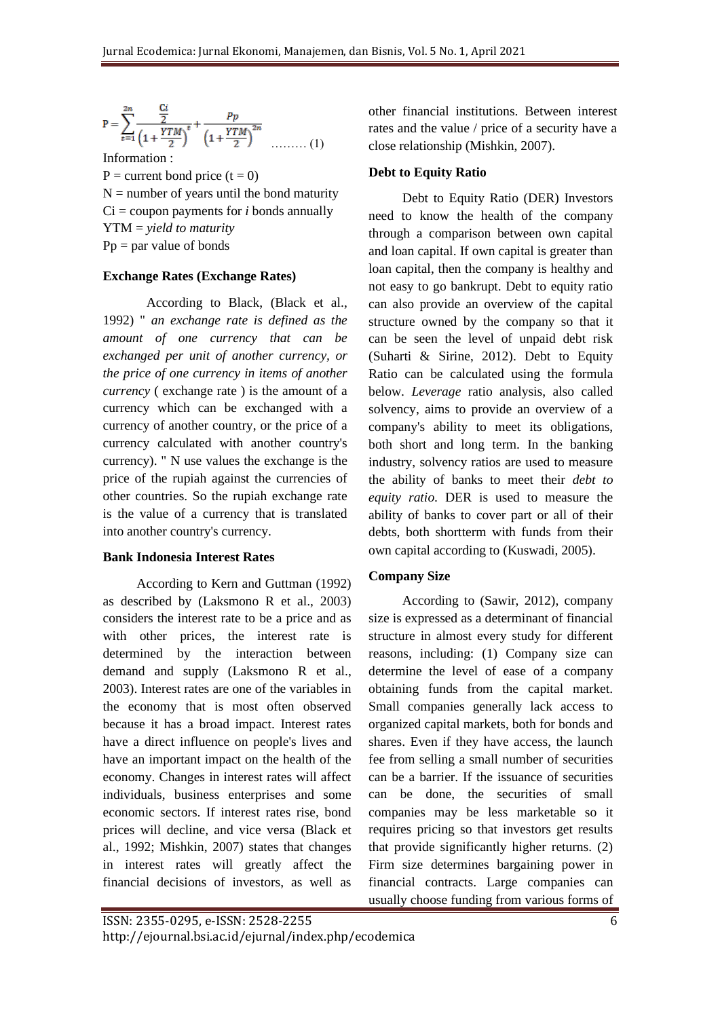$$
P = \sum_{t=1}^{2n} \frac{\frac{Ci}{2}}{\left(1 + \frac{YTM}{2}\right)^t} + \frac{Pp}{\left(1 + \frac{YTM}{2}\right)^{2n}} \dots \dots \dots (1)
$$

Information :  $P =$  current bond price  $(t = 0)$  $N =$  number of years until the bond maturity  $Ci = \text{coupon payments}$  for *i* bonds annually YTM = *yield to maturity*  $Pp = par$  value of bonds

## **Exchange Rates (Exchange Rates)**

According to Black, (Black et al., 1992) " *an exchange rate is defined as the amount of one currency that can be exchanged per unit of another currency, or the price of one currency in items of another currency* ( exchange rate ) is the amount of a currency which can be exchanged with a currency of another country, or the price of a currency calculated with another country's currency). " N use values the exchange is the price of the rupiah against the currencies of other countries. So the rupiah exchange rate is the value of a currency that is translated into another country's currency.

## **Bank Indonesia Interest Rates**

According to Kern and Guttman (1992) as described by (Laksmono R et al., 2003) considers the interest rate to be a price and as with other prices, the interest rate is determined by the interaction between demand and supply (Laksmono R et al., 2003). Interest rates are one of the variables in the economy that is most often observed because it has a broad impact. Interest rates have a direct influence on people's lives and have an important impact on the health of the economy. Changes in interest rates will affect individuals, business enterprises and some economic sectors. If interest rates rise, bond prices will decline, and vice versa (Black et al., 1992; Mishkin, 2007) states that changes in interest rates will greatly affect the financial decisions of investors, as well as

other financial institutions. Between interest rates and the value / price of a security have a close relationship (Mishkin, 2007).

## **Debt to Equity Ratio**

Debt to Equity Ratio (DER) Investors need to know the health of the company through a comparison between own capital and loan capital. If own capital is greater than loan capital, then the company is healthy and not easy to go bankrupt. Debt to equity ratio can also provide an overview of the capital structure owned by the company so that it can be seen the level of unpaid debt risk (Suharti & Sirine, 2012). Debt to Equity Ratio can be calculated using the formula below. *Leverage* ratio analysis, also called solvency, aims to provide an overview of a company's ability to meet its obligations, both short and long term. In the banking industry, solvency ratios are used to measure the ability of banks to meet their *debt to equity ratio*. DER is used to measure the ability of banks to cover part or all of their debts, both shortterm with funds from their own capital according to (Kuswadi, 2005).

## **Company Size**

According to (Sawir, 2012), company size is expressed as a determinant of financial structure in almost every study for different reasons, including: (1) Company size can determine the level of ease of a company obtaining funds from the capital market. Small companies generally lack access to organized capital markets, both for bonds and shares. Even if they have access, the launch fee from selling a small number of securities can be a barrier. If the issuance of securities can be done, the securities of small companies may be less marketable so it requires pricing so that investors get results that provide significantly higher returns. (2) Firm size determines bargaining power in financial contracts. Large companies can usually choose funding from various forms of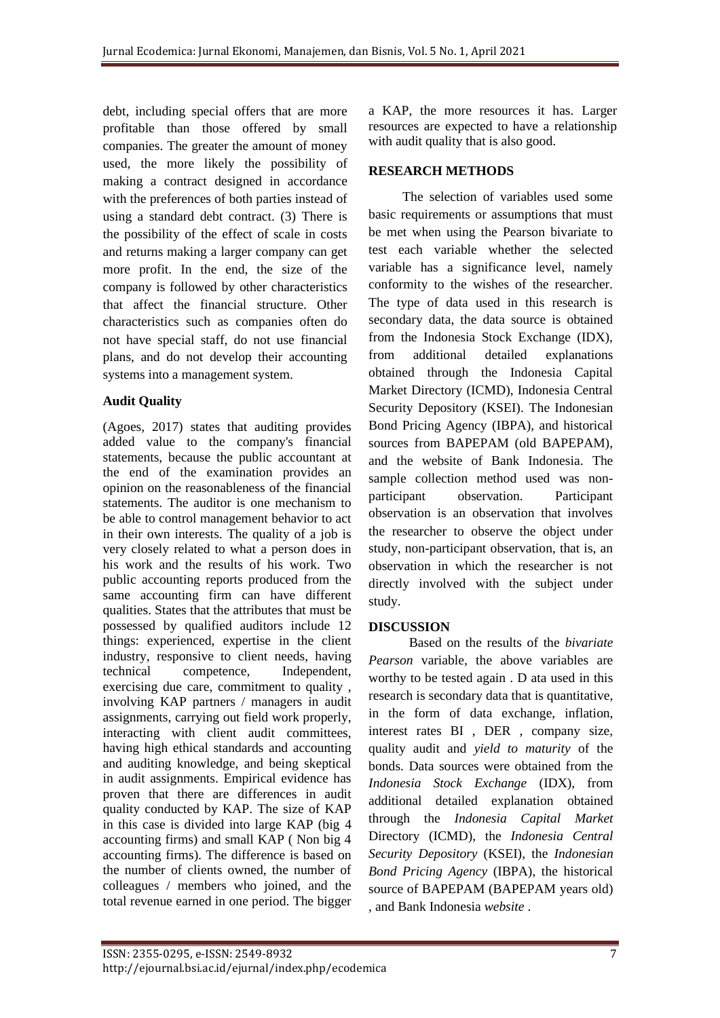debt, including special offers that are more profitable than those offered by small companies. The greater the amount of money used, the more likely the possibility of making a contract designed in accordance with the preferences of both parties instead of using a standard debt contract. (3) There is the possibility of the effect of scale in costs and returns making a larger company can get more profit. In the end, the size of the company is followed by other characteristics that affect the financial structure. Other characteristics such as companies often do not have special staff, do not use financial plans, and do not develop their accounting systems into a management system.

## **Audit Quality**

(Agoes, 2017) states that auditing provides added value to the company's financial statements, because the public accountant at the end of the examination provides an opinion on the reasonableness of the financial statements. The auditor is one mechanism to be able to control management behavior to act in their own interests. The quality of a job is very closely related to what a person does in his work and the results of his work. Two public accounting reports produced from the same accounting firm can have different qualities. States that the attributes that must be possessed by qualified auditors include 12 things: experienced, expertise in the client industry, responsive to client needs, having technical competence, Independent, exercising due care, commitment to quality , involving KAP partners / managers in audit assignments, carrying out field work properly, interacting with client audit committees, having high ethical standards and accounting and auditing knowledge, and being skeptical in audit assignments. Empirical evidence has proven that there are differences in audit quality conducted by KAP. The size of KAP in this case is divided into large KAP (big 4 accounting firms) and small KAP ( Non big 4 accounting firms). The difference is based on the number of clients owned, the number of colleagues / members who joined, and the total revenue earned in one period. The bigger

a KAP, the more resources it has. Larger resources are expected to have a relationship with audit quality that is also good.

## **RESEARCH METHODS**

The selection of variables used some basic requirements or assumptions that must be met when using the Pearson bivariate to test each variable whether the selected variable has a significance level, namely conformity to the wishes of the researcher. The type of data used in this research is secondary data, the data source is obtained from the Indonesia Stock Exchange (IDX), from additional detailed explanations obtained through the Indonesia Capital Market Directory (ICMD), Indonesia Central Security Depository (KSEI). The Indonesian Bond Pricing Agency (IBPA), and historical sources from BAPEPAM (old BAPEPAM), and the website of Bank Indonesia. The sample collection method used was nonparticipant observation. Participant observation is an observation that involves the researcher to observe the object under study, non-participant observation, that is, an observation in which the researcher is not directly involved with the subject under study.

## **DISCUSSION**

 Based on the results of the *bivariate Pearson* variable, the above variables are worthy to be tested again . D ata used in this research is secondary data that is quantitative, in the form of data exchange, inflation, interest rates BI , DER , company size, quality audit and *yield to maturity* of the bonds. Data sources were obtained from the *Indonesia Stock Exchange* (IDX), from additional detailed explanation obtained through the *Indonesia Capital Market*  Directory (ICMD), the *Indonesia Central Security Depository* (KSEI), the *Indonesian Bond Pricing Agency* (IBPA), the historical source of BAPEPAM (BAPEPAM years old) , and Bank Indonesia *website* .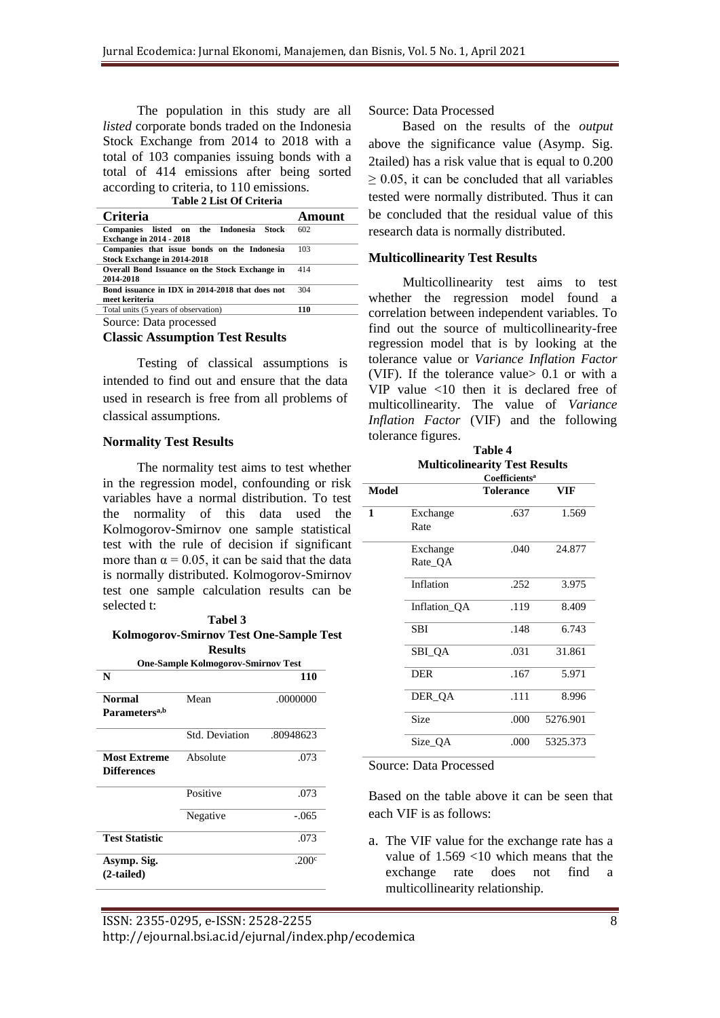The population in this study are all *listed* corporate bonds traded on the Indonesia Stock Exchange from 2014 to 2018 with a total of 103 companies issuing bonds with a total of 414 emissions after being sorted according to criteria, to 110 emissions. **Table 2 List Of Criteria**

| Table 2 List Of Criteria                                                       |        |
|--------------------------------------------------------------------------------|--------|
| <b>Criteria</b>                                                                | Amount |
| Companies listed on the Indonesia<br>– Stock<br><b>Exchange in 2014 - 2018</b> | 602    |
| Companies that issue bonds on the Indonesia<br>Stock Exchange in 2014-2018     | 103    |
| Overall Bond Issuance on the Stock Exchange in<br>2014-2018                    | 414    |
| Bond issuance in IDX in 2014-2018 that does not<br>meet keriteria              | 304    |
| Total units (5 years of observation)                                           | 110    |

Source: Data processed

**Classic Assumption Test Results**

Testing of classical assumptions is intended to find out and ensure that the data used in research is free from all problems of classical assumptions.

#### **Normality Test Results**

The normality test aims to test whether in the regression model, confounding or risk variables have a normal distribution. To test the normality of this data used the Kolmogorov-Smirnov one sample statistical test with the rule of decision if significant more than  $\alpha = 0.05$ , it can be said that the data is normally distributed. Kolmogorov-Smirnov test one sample calculation results can be selected t:

**Tabel 3**

| <b>Kolmogorov-Smirnov Test One-Sample Test</b><br><b>Results</b> |                       |                |  |  |  |
|------------------------------------------------------------------|-----------------------|----------------|--|--|--|
|                                                                  |                       |                |  |  |  |
| N                                                                |                       | 110            |  |  |  |
| <b>Normal</b>                                                    | Mean                  | .0000000       |  |  |  |
| Parameters <sup>a,b</sup>                                        |                       |                |  |  |  |
|                                                                  | <b>Std. Deviation</b> | .80948623      |  |  |  |
| <b>Most Extreme</b>                                              | Absolute              | .073           |  |  |  |
| <b>Differences</b>                                               |                       |                |  |  |  |
|                                                                  | Positive              | .073           |  |  |  |
|                                                                  | Negative              | $-.065$        |  |  |  |
| <b>Test Statistic</b>                                            |                       | .073           |  |  |  |
| Asymp. Sig.                                                      |                       | .200 $\degree$ |  |  |  |
| $(2-tailed)$                                                     |                       |                |  |  |  |

Source: Data Processed

Based on the results of the *output*  above the significance value (Asymp. Sig. 2tailed) has a risk value that is equal to 0.200  $\geq$  0.05, it can be concluded that all variables tested were normally distributed. Thus it can be concluded that the residual value of this research data is normally distributed.

#### **Multicollinearity Test Results**

Multicollinearity test aims to test whether the regression model found a correlation between independent variables. To find out the source of multicollinearity-free regression model that is by looking at the tolerance value or *Variance Inflation Factor*  (VIF). If the tolerance value> 0.1 or with a VIP value <10 then it is declared free of multicollinearity. The value of *Variance Inflation Factor* (VIF) and the following tolerance figures.

**Table 4 Multicolinearity Test Results**

|       |                     | Coefficients <sup>a</sup> |          |
|-------|---------------------|---------------------------|----------|
| Model |                     | <b>Tolerance</b>          | VIF      |
| 1     | Exchange<br>Rate    | .637                      | 1.569    |
|       | Exchange<br>Rate_QA | .040                      | 24.877   |
|       | Inflation           | .252                      | 3.975    |
|       | Inflation_QA        | .119                      | 8.409    |
|       | <b>SBI</b>          | .148                      | 6.743    |
|       | SBI_QA              | .031                      | 31.861   |
|       | DER                 | .167                      | 5.971    |
|       | DER_QA              | .111                      | 8.996    |
|       | Size                | .000                      | 5276.901 |
|       | Size_QA             | .000                      | 5325.373 |

Source: Data Processed

Based on the table above it can be seen that each VIF is as follows:

a. The VIF value for the exchange rate has a value of 1.569 <10 which means that the exchange rate does not find a multicollinearity relationship.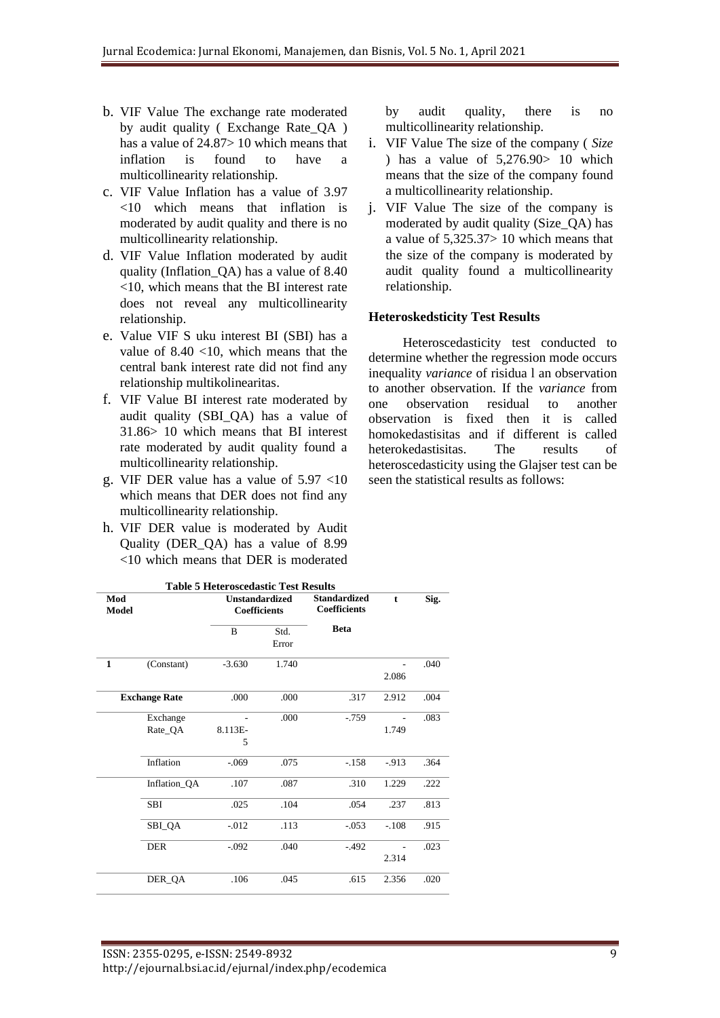- b. VIF Value The exchange rate moderated by audit quality ( Exchange Rate\_QA ) has a value of 24.87> 10 which means that inflation is found to have a multicollinearity relationship.
- c. VIF Value Inflation has a value of 3.97 <10 which means that inflation is moderated by audit quality and there is no multicollinearity relationship.
- d. VIF Value Inflation moderated by audit quality (Inflation\_QA) has a value of 8.40 <10, which means that the BI interest rate does not reveal any multicollinearity relationship.
- e. Value VIF S uku interest BI (SBI) has a value of  $8.40 \le 10$ , which means that the central bank interest rate did not find any relationship multikolinearitas.
- f. VIF Value BI interest rate moderated by audit quality (SBI\_QA) has a value of 31.86> 10 which means that BI interest rate moderated by audit quality found a multicollinearity relationship.
- g. VIF DER value has a value of 5.97 <10 which means that DER does not find any multicollinearity relationship.
- h. VIF DER value is moderated by Audit Quality (DER\_QA) has a value of 8.99 <10 which means that DER is moderated

by audit quality, there is no multicollinearity relationship.

- i. VIF Value The size of the company ( *Size*  ) has a value of  $5,276.90 > 10$  which means that the size of the company found a multicollinearity relationship.
- j. VIF Value The size of the company is moderated by audit quality (Size\_QA) has a value of 5,325.37> 10 which means that the size of the company is moderated by audit quality found a multicollinearity relationship.

#### **Heteroskedsticity Test Results**

Heteroscedasticity test conducted to determine whether the regression mode occurs inequality *variance* of risidua l an observation to another observation. If the *variance* from one observation residual to another observation is fixed then it is called homokedastisitas and if different is called heterokedastisitas. The results of heteroscedasticity using the Glajser test can be seen the statistical results as follows:

|              | <b>Table 5 Heteroscedastic Test Results</b> |              |                                                                                            |             |             |      |  |
|--------------|---------------------------------------------|--------------|--------------------------------------------------------------------------------------------|-------------|-------------|------|--|
| Mod<br>Model |                                             |              | <b>Standardized</b><br><b>Unstandardized</b><br><b>Coefficients</b><br><b>Coefficients</b> |             | $\mathbf t$ | Sig. |  |
|              |                                             | B            | Std.<br>Error                                                                              | <b>Beta</b> |             |      |  |
| 1            | (Constant)                                  | $-3.630$     | 1.740                                                                                      |             | 2.086       | .040 |  |
|              | <b>Exchange Rate</b>                        | .000         | .000                                                                                       | .317        | 2.912       | .004 |  |
|              | Exchange<br>Rate_QA                         | 8.113E-<br>5 | .000                                                                                       | $-0.759$    | 1.749       | .083 |  |
|              | Inflation                                   | $-.069$      | .075                                                                                       | $-.158$     | $-.913$     | .364 |  |
|              | Inflation_QA                                | .107         | .087                                                                                       | .310        | 1.229       | .222 |  |
|              | <b>SBI</b>                                  | .025         | .104                                                                                       | .054        | .237        | .813 |  |
|              | SBI_QA                                      | $-0.012$     | .113                                                                                       | $-.053$     | $-.108$     | .915 |  |
|              | <b>DER</b>                                  | $-.092$      | .040                                                                                       | $-.492$     | ä,<br>2.314 | .023 |  |
|              | DER_QA                                      | .106         | .045                                                                                       | .615        | 2.356       | .020 |  |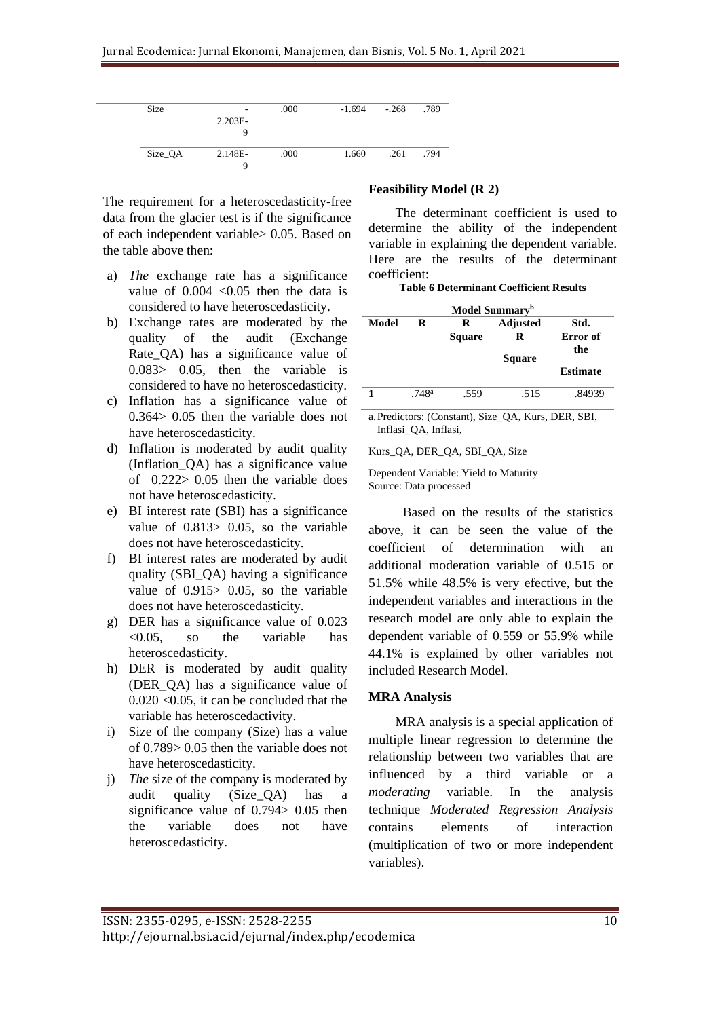| <b>Size</b> | $\overline{\phantom{a}}$ | .000 | $-1.694$ | $-.268$ | .789 |
|-------------|--------------------------|------|----------|---------|------|
|             | $2.203E-$                |      |          |         |      |
|             |                          |      |          |         |      |
|             | 9                        |      |          |         |      |
|             |                          |      |          |         |      |
| Size_QA     | 2.148E-                  | .000 | 1.660    | .261    | .794 |
|             | 9                        |      |          |         |      |
|             |                          |      |          |         |      |
|             |                          |      |          |         |      |

The requirement for a heteroscedasticity-free data from the glacier test is if the significance of each independent variable> 0.05. Based on the table above then:

- a) *The* exchange rate has a significance value of  $0.004$  <  $0.05$  then the data is considered to have heteroscedasticity.
- b) Exchange rates are moderated by the quality of the audit (Exchange Rate QA) has a significance value of 0.083> 0.05, then the variable is considered to have no heteroscedasticity.
- c) Inflation has a significance value of 0.364> 0.05 then the variable does not have heteroscedasticity.
- d) Inflation is moderated by audit quality (Inflation\_QA) has a significance value of 0.222> 0.05 then the variable does not have heteroscedasticity.
- e) BI interest rate (SBI) has a significance value of 0.813> 0.05, so the variable does not have heteroscedasticity.
- f) BI interest rates are moderated by audit quality (SBI\_QA) having a significance value of 0.915> 0.05, so the variable does not have heteroscedasticity.
- g) DER has a significance value of 0.023 <0.05, so the variable has heteroscedasticity.
- h) DER is moderated by audit quality (DER\_QA) has a significance value of  $0.020 \leq 0.05$ , it can be concluded that the variable has heteroscedactivity.
- i) Size of the company (Size) has a value of 0.789> 0.05 then the variable does not have heteroscedasticity.
- j) *The* size of the company is moderated by audit quality (Size\_QA) has a significance value of 0.794 > 0.05 then the variable does not have heteroscedasticity.

## **Feasibility Model (R 2)**

The determinant coefficient is used to determine the ability of the independent variable in explaining the dependent variable. Here are the results of the determinant coefficient:

**Table 6 Determinant Coefficient Results**

| Model Summary <sup>b</sup> |                   |               |                 |                 |  |
|----------------------------|-------------------|---------------|-----------------|-----------------|--|
| Model                      | R                 | R             | <b>Adjusted</b> | Std.            |  |
|                            |                   | <b>Square</b> | R               | Error of        |  |
|                            |                   |               | <b>Square</b>   | the             |  |
|                            |                   |               |                 | <b>Estimate</b> |  |
|                            | .748 <sup>a</sup> | .559          | .515            | .84939          |  |

a.Predictors: (Constant), Size\_QA, Kurs, DER, SBI, Inflasi\_QA, Inflasi,

Kurs\_QA, DER\_QA, SBI\_QA, Size

Dependent Variable: Yield to Maturity Source: Data processed

Based on the results of the statistics above, it can be seen the value of the coefficient of determination with an additional moderation variable of 0.515 or 51.5% while 48.5% is very efective, but the independent variables and interactions in the research model are only able to explain the dependent variable of 0.559 or 55.9% while 44.1% is explained by other variables not included Research Model.

## **MRA Analysis**

 MRA analysis is a special application of multiple linear regression to determine the relationship between two variables that are influenced by a third variable or a *moderating* variable. In the analysis technique *Moderated Regression Analysis*  contains elements of interaction (multiplication of two or more independent variables).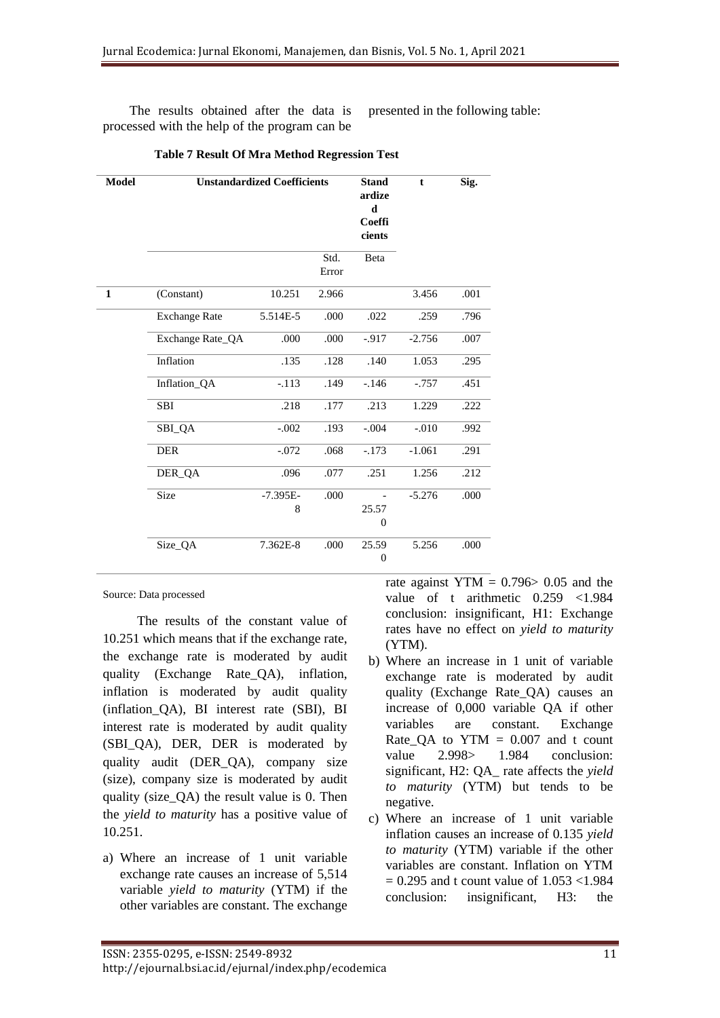The results obtained after the data is processed with the help of the program can be presented in the following table:

| <b>Model</b> | <b>Unstandardized Coefficients</b> | <b>Stand</b><br>ardize<br>d<br>Coeffi<br>cients | $\mathbf t$   | Sig.                      |          |      |
|--------------|------------------------------------|-------------------------------------------------|---------------|---------------------------|----------|------|
|              |                                    |                                                 | Std.<br>Error | Beta                      |          |      |
| $\mathbf{1}$ | (Constant)                         | 10.251                                          | 2.966         |                           | 3.456    | .001 |
|              | <b>Exchange Rate</b>               | 5.514E-5                                        | .000          | .022                      | .259     | .796 |
|              | Exchange Rate_QA                   | .000                                            | .000          | $-.917$                   | $-2.756$ | .007 |
|              | Inflation                          | .135                                            | .128          | .140                      | 1.053    | .295 |
|              | Inflation_QA                       | $-.113$                                         | .149          | $-.146$                   | $-.757$  | .451 |
|              | <b>SBI</b>                         | .218                                            | .177          | .213                      | 1.229    | .222 |
|              | SBI_QA                             | $-.002$                                         | .193          | $-.004$                   | $-.010$  | .992 |
|              | <b>DER</b>                         | $-.072$                                         | .068          | $-.173$                   | $-1.061$ | .291 |
|              | DER QA                             | .096                                            | .077          | .251                      | 1.256    | .212 |
|              | Size                               | $-7.395E-$<br>8                                 | .000          | 25.57<br>$\overline{0}$   | $-5.276$ | .000 |
|              | Size_QA                            | 7.362E-8                                        | .000          | 25.59<br>$\boldsymbol{0}$ | 5.256    | .000 |

 **Table 7 Result Of Mra Method Regression Test**

Source: Data processed

The results of the constant value of 10.251 which means that if the exchange rate, the exchange rate is moderated by audit quality (Exchange Rate\_QA), inflation, inflation is moderated by audit quality (inflation\_QA), BI interest rate (SBI), BI interest rate is moderated by audit quality (SBI\_QA), DER, DER is moderated by quality audit (DER\_QA), company size (size), company size is moderated by audit quality (size\_QA) the result value is 0. Then the *yield to maturity* has a positive value of 10.251.

a) Where an increase of 1 unit variable exchange rate causes an increase of 5,514 variable *yield to maturity* (YTM) if the other variables are constant. The exchange

rate against YTM =  $0.796 > 0.05$  and the value of t arithmetic 0.259 <1.984 conclusion: insignificant, H1: Exchange rates have no effect on *yield to maturity*  (YTM).

- b) Where an increase in 1 unit of variable exchange rate is moderated by audit quality (Exchange Rate\_QA) causes an increase of 0,000 variable QA if other variables are constant. Exchange Rate\_QA to  $YTM = 0.007$  and t count value 2.998> 1.984 conclusion: significant, H2: QA\_ rate affects the *yield to maturity* (YTM) but tends to be negative.
- c) Where an increase of 1 unit variable inflation causes an increase of 0.135 *yield to maturity* (YTM) variable if the other variables are constant. Inflation on YTM  $= 0.295$  and t count value of  $1.053 < 1.984$ conclusion: insignificant, H3: the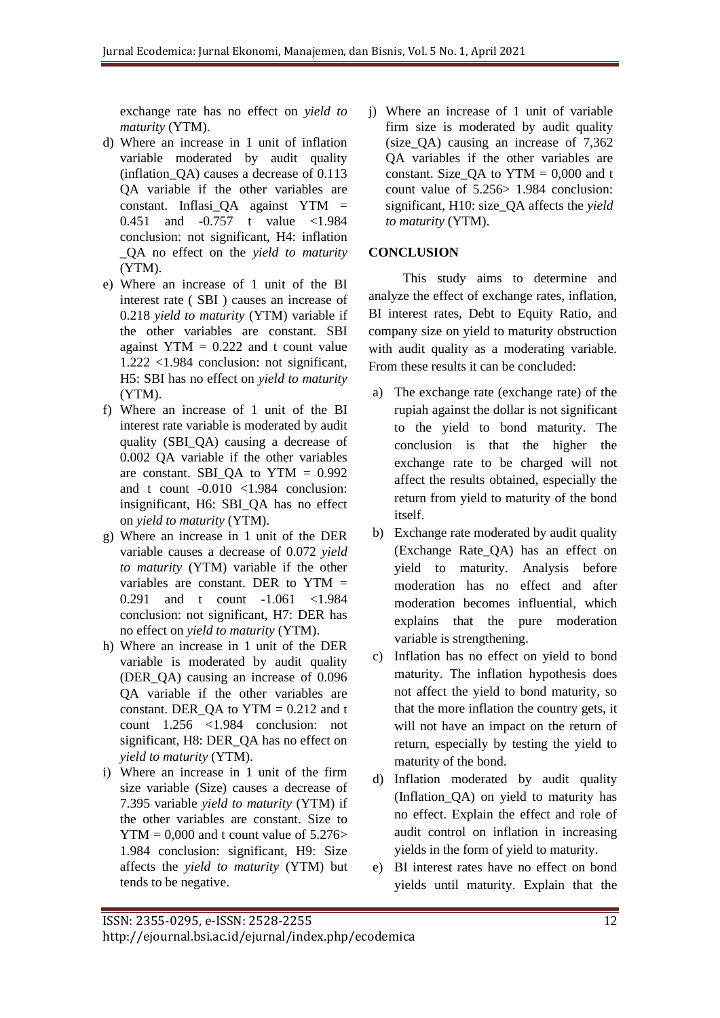exchange rate has no effect on *yield to maturity* (YTM).

- d) Where an increase in 1 unit of inflation variable moderated by audit quality (inflation\_QA) causes a decrease of 0.113 QA variable if the other variables are constant. Inflasi  $QA$  against YTM = 0.451 and -0.757 t value <1.984 conclusion: not significant, H4: inflation \_QA no effect on the *yield to maturity*  (YTM).
- e) Where an increase of 1 unit of the BI interest rate ( SBI ) causes an increase of 0.218 *yield to maturity* (YTM) variable if the other variables are constant. SBI against  $YTM = 0.222$  and t count value 1.222 <1.984 conclusion: not significant, H5: SBI has no effect on *yield to maturity*  (YTM).
- f) Where an increase of 1 unit of the BI interest rate variable is moderated by audit quality (SBI\_QA) causing a decrease of 0.002 QA variable if the other variables are constant. SBI\_QA to  $YTM = 0.992$ and t count -0.010 <1.984 conclusion: insignificant, H6: SBI\_QA has no effect on *yield to maturity* (YTM).
- g) Where an increase in 1 unit of the DER variable causes a decrease of 0.072 *yield to maturity* (YTM) variable if the other variables are constant. DER to YTM = 0.291 and t count -1.061 <1.984 conclusion: not significant, H7: DER has no effect on *yield to maturity* (YTM).
- h) Where an increase in 1 unit of the DER variable is moderated by audit quality (DER\_QA) causing an increase of 0.096 QA variable if the other variables are constant. DER  $QA$  to  $YTM = 0.212$  and t count 1.256 <1.984 conclusion: not significant, H8: DER\_QA has no effect on *yield to maturity* (YTM).
- i) Where an increase in 1 unit of the firm size variable (Size) causes a decrease of 7.395 variable *yield to maturity* (YTM) if the other variables are constant. Size to  $YTM = 0,000$  and t count value of 5.276> 1.984 conclusion: significant, H9: Size affects the *yield to maturity* (YTM) but tends to be negative.

j) Where an increase of 1 unit of variable firm size is moderated by audit quality (size\_QA) causing an increase of 7,362 QA variables if the other variables are constant. Size  $QA$  to  $YTM = 0,000$  and t count value of 5.256> 1.984 conclusion: significant, H10: size\_QA affects the *yield to maturity* (YTM).

# **CONCLUSION**

This study aims to determine and analyze the effect of exchange rates, inflation, BI interest rates, Debt to Equity Ratio, and company size on yield to maturity obstruction with audit quality as a moderating variable. From these results it can be concluded:

- a) The exchange rate (exchange rate) of the rupiah against the dollar is not significant to the yield to bond maturity. The conclusion is that the higher the exchange rate to be charged will not affect the results obtained, especially the return from yield to maturity of the bond itself.
- b) Exchange rate moderated by audit quality (Exchange Rate\_QA) has an effect on yield to maturity. Analysis before moderation has no effect and after moderation becomes influential, which explains that the pure moderation variable is strengthening.
- c) Inflation has no effect on yield to bond maturity. The inflation hypothesis does not affect the yield to bond maturity, so that the more inflation the country gets, it will not have an impact on the return of return, especially by testing the yield to maturity of the bond.
- d) Inflation moderated by audit quality (Inflation\_QA) on yield to maturity has no effect. Explain the effect and role of audit control on inflation in increasing yields in the form of yield to maturity.
- e) BI interest rates have no effect on bond yields until maturity. Explain that the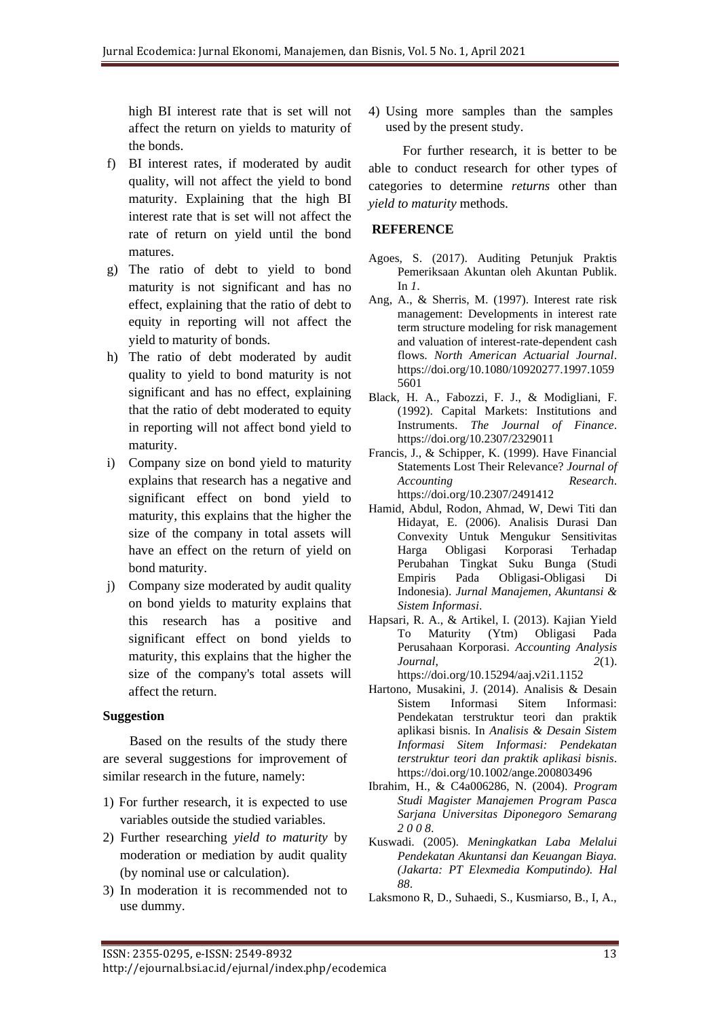high BI interest rate that is set will not affect the return on yields to maturity of the bonds.

- f) BI interest rates, if moderated by audit quality, will not affect the yield to bond maturity. Explaining that the high BI interest rate that is set will not affect the rate of return on yield until the bond matures.
- g) The ratio of debt to yield to bond maturity is not significant and has no effect, explaining that the ratio of debt to equity in reporting will not affect the yield to maturity of bonds.
- h) The ratio of debt moderated by audit quality to yield to bond maturity is not significant and has no effect, explaining that the ratio of debt moderated to equity in reporting will not affect bond yield to maturity.
- i) Company size on bond yield to maturity explains that research has a negative and significant effect on bond yield to maturity, this explains that the higher the size of the company in total assets will have an effect on the return of yield on bond maturity.
- j) Company size moderated by audit quality on bond yields to maturity explains that this research has a positive and significant effect on bond yields to maturity, this explains that the higher the size of the company's total assets will affect the return.

## **Suggestion**

Based on the results of the study there are several suggestions for improvement of similar research in the future, namely:

- 1) For further research, it is expected to use variables outside the studied variables.
- 2) Further researching *yield to maturity* by moderation or mediation by audit quality (by nominal use or calculation).
- 3) In moderation it is recommended not to use dummy.

4) Using more samples than the samples used by the present study.

For further research, it is better to be able to conduct research for other types of categories to determine *returns* other than *yield to maturity* methods.

## **REFERENCE**

- Agoes, S. (2017). Auditing Petunjuk Praktis Pemeriksaan Akuntan oleh Akuntan Publik. In *1*.
- Ang, A., & Sherris, M. (1997). Interest rate risk management: Developments in interest rate term structure modeling for risk management and valuation of interest-rate-dependent cash flows. *North American Actuarial Journal*. https://doi.org/10.1080/10920277.1997.1059 5601
- Black, H. A., Fabozzi, F. J., & Modigliani, F. (1992). Capital Markets: Institutions and Instruments. *The Journal of Finance*. https://doi.org/10.2307/2329011
- Francis, J., & Schipper, K. (1999). Have Financial Statements Lost Their Relevance? *Journal of Accounting Research*. https://doi.org/10.2307/2491412
- Hamid, Abdul, Rodon, Ahmad, W, Dewi Titi dan Hidayat, E. (2006). Analisis Durasi Dan Convexity Untuk Mengukur Sensitivitas Harga Obligasi Korporasi Terhadap Perubahan Tingkat Suku Bunga (Studi Empiris Pada Obligasi-Obligasi Di Indonesia). *Jurnal Manajemen, Akuntansi & Sistem Informasi*.
- Hapsari, R. A., & Artikel, I. (2013). Kajian Yield To Maturity (Ytm) Obligasi Pada Perusahaan Korporasi. *Accounting Analysis Journal*, *2*(1). https://doi.org/10.15294/aaj.v2i1.1152
- Hartono, Musakini, J. (2014). Analisis & Desain Sistem Informasi Sitem Informasi: Pendekatan terstruktur teori dan praktik aplikasi bisnis. In *Analisis & Desain Sistem Informasi Sitem Informasi: Pendekatan terstruktur teori dan praktik aplikasi bisnis*. https://doi.org/10.1002/ange.200803496
- Ibrahim, H., & C4a006286, N. (2004). *Program Studi Magister Manajemen Program Pasca Sarjana Universitas Diponegoro Semarang 2 0 0 8*.
- Kuswadi. (2005). *Meningkatkan Laba Melalui Pendekatan Akuntansi dan Keuangan Biaya. (Jakarta: PT Elexmedia Komputindo). Hal 88*.
- Laksmono R, D., Suhaedi, S., Kusmiarso, B., I, A.,